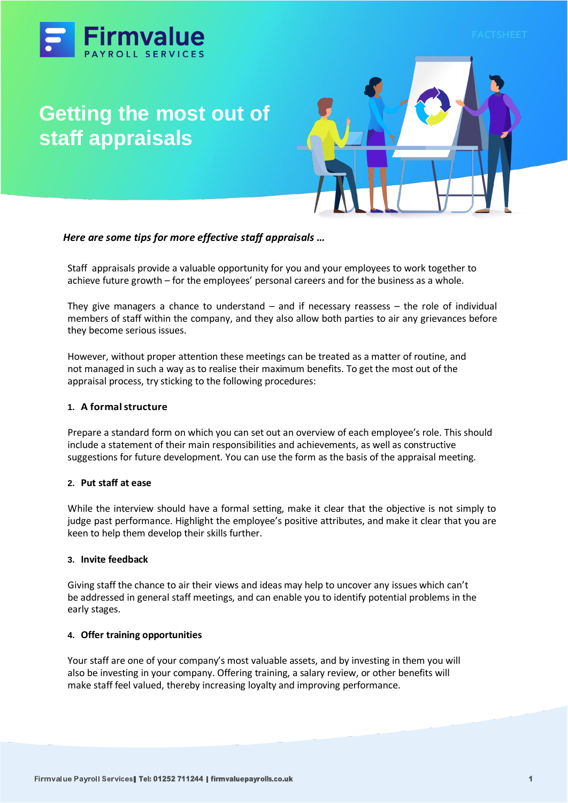



# *Here are some tips for more effective staff appraisals …*

Staff appraisals provide a valuable opportunity for you and your employees to work together to achieve future growth – for the employees' personal careers and for the business as a whole.

They give managers a chance to understand  $-$  and if necessary reassess  $-$  the role of individual members of staff within the company, and they also allow both parties to air any grievances before they become serious issues.

However, without proper attention these meetings can be treated as a matter of routine, and not managed in such a way as to realise their maximum benefits. To get the most out of the appraisal process, try sticking to the following procedures:

## **1. A formalstructure**

Prepare a standard form on which you can set out an overview of each employee's role. This should include a statement of their main responsibilities and achievements, as well as constructive suggestions for future development. You can use the form as the basis of the appraisal meeting.

## **2. Put staff at ease**

While the interview should have a formal setting, make it clear that the objective is not simply to judge past performance. Highlight the employee's positive attributes, and make it clear that you are keen to help them develop their skills further.

## **3. Invite feedback**

Giving staff the chance to air their views and ideas may help to uncover any issues which can't be addressed in general staff meetings, and can enable you to identify potential problems in the early stages.

## **4. Offer training opportunities**

Your staff are one of your company's most valuable assets, and by investing in them you will also be investing in your company. Offering training, a salary review, or other benefits will make staff feel valued, thereby increasing loyalty and improving performance.